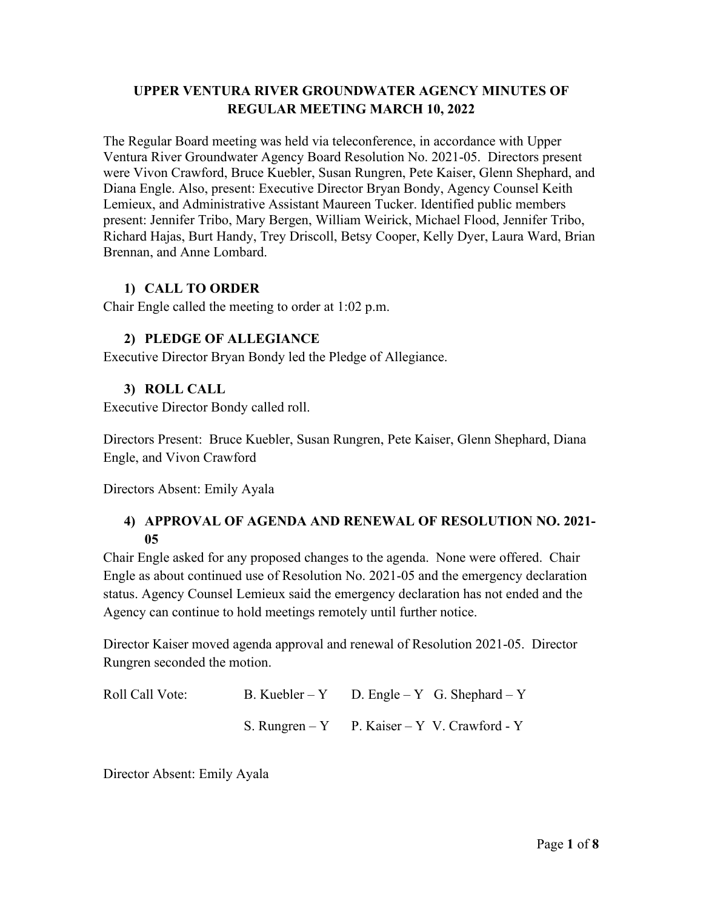## **UPPER VENTURA RIVER GROUNDWATER AGENCY MINUTES OF REGULAR MEETING MARCH 10, 2022**

The Regular Board meeting was held via teleconference, in accordance with Upper Ventura River Groundwater Agency Board Resolution No. 2021-05. Directors present were Vivon Crawford, Bruce Kuebler, Susan Rungren, Pete Kaiser, Glenn Shephard, and Diana Engle. Also, present: Executive Director Bryan Bondy, Agency Counsel Keith Lemieux, and Administrative Assistant Maureen Tucker. Identified public members present: Jennifer Tribo, Mary Bergen, William Weirick, Michael Flood, Jennifer Tribo, Richard Hajas, Burt Handy, Trey Driscoll, Betsy Cooper, Kelly Dyer, Laura Ward, Brian Brennan, and Anne Lombard.

## **1) CALL TO ORDER**

Chair Engle called the meeting to order at 1:02 p.m.

## **2) PLEDGE OF ALLEGIANCE**

Executive Director Bryan Bondy led the Pledge of Allegiance.

## **3) ROLL CALL**

Executive Director Bondy called roll.

Directors Present: Bruce Kuebler, Susan Rungren, Pete Kaiser, Glenn Shephard, Diana Engle, and Vivon Crawford

Directors Absent: Emily Ayala

# **4) APPROVAL OF AGENDA AND RENEWAL OF RESOLUTION NO. 2021- 05**

Chair Engle asked for any proposed changes to the agenda. None were offered. Chair Engle as about continued use of Resolution No. 2021-05 and the emergency declaration status. Agency Counsel Lemieux said the emergency declaration has not ended and the Agency can continue to hold meetings remotely until further notice.

Director Kaiser moved agenda approval and renewal of Resolution 2021-05. Director Rungren seconded the motion.

| Roll Call Vote: | B. Kuebler – Y D. Engle – Y G. Shephard – Y   |
|-----------------|-----------------------------------------------|
|                 | S. Rungren $-Y$ P. Kaiser – Y V. Crawford - Y |

Director Absent: Emily Ayala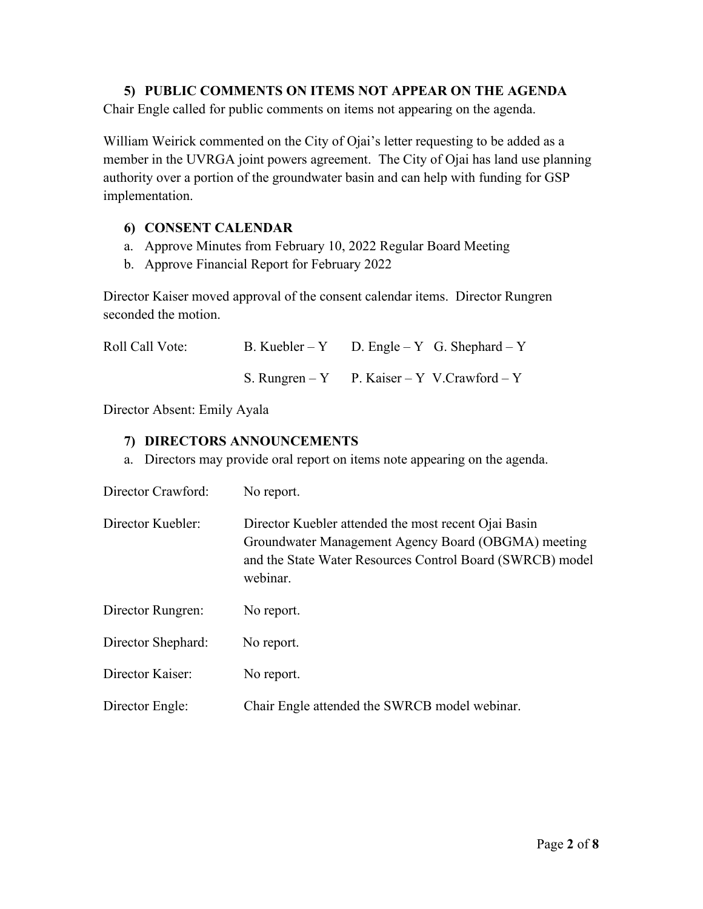#### **5) PUBLIC COMMENTS ON ITEMS NOT APPEAR ON THE AGENDA**

Chair Engle called for public comments on items not appearing on the agenda.

William Weirick commented on the City of Ojai's letter requesting to be added as a member in the UVRGA joint powers agreement. The City of Ojai has land use planning authority over a portion of the groundwater basin and can help with funding for GSP implementation.

#### **6) CONSENT CALENDAR**

- a. Approve Minutes from February 10, 2022 Regular Board Meeting
- b. Approve Financial Report for February 2022

Director Kaiser moved approval of the consent calendar items. Director Rungren seconded the motion.

| Roll Call Vote: | B. Kuebler – Y D. Engle – Y G. Shephard – Y  |
|-----------------|----------------------------------------------|
|                 | S. Rungren – Y P. Kaiser – Y V. Crawford – Y |

Director Absent: Emily Ayala

## **7) DIRECTORS ANNOUNCEMENTS**

a. Directors may provide oral report on items note appearing on the agenda.

| Director Crawford: | No report.                                                                                                                                                                           |
|--------------------|--------------------------------------------------------------------------------------------------------------------------------------------------------------------------------------|
| Director Kuebler:  | Director Kuebler attended the most recent Ojai Basin<br>Groundwater Management Agency Board (OBGMA) meeting<br>and the State Water Resources Control Board (SWRCB) model<br>webinar. |
| Director Rungren:  | No report.                                                                                                                                                                           |
| Director Shephard: | No report.                                                                                                                                                                           |
| Director Kaiser:   | No report.                                                                                                                                                                           |
| Director Engle:    | Chair Engle attended the SWRCB model webinar.                                                                                                                                        |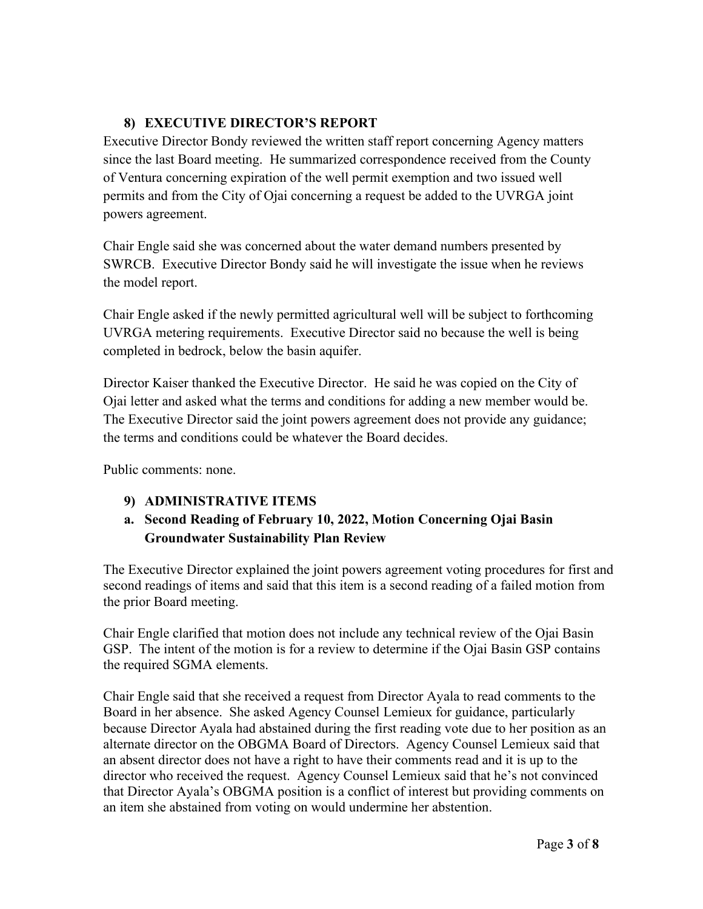# **8) EXECUTIVE DIRECTOR'S REPORT**

Executive Director Bondy reviewed the written staff report concerning Agency matters since the last Board meeting. He summarized correspondence received from the County of Ventura concerning expiration of the well permit exemption and two issued well permits and from the City of Ojai concerning a request be added to the UVRGA joint powers agreement.

Chair Engle said she was concerned about the water demand numbers presented by SWRCB. Executive Director Bondy said he will investigate the issue when he reviews the model report.

Chair Engle asked if the newly permitted agricultural well will be subject to forthcoming UVRGA metering requirements. Executive Director said no because the well is being completed in bedrock, below the basin aquifer.

Director Kaiser thanked the Executive Director. He said he was copied on the City of Ojai letter and asked what the terms and conditions for adding a new member would be. The Executive Director said the joint powers agreement does not provide any guidance; the terms and conditions could be whatever the Board decides.

Public comments: none.

# **9) ADMINISTRATIVE ITEMS**

# **a. Second Reading of February 10, 2022, Motion Concerning Ojai Basin Groundwater Sustainability Plan Review**

The Executive Director explained the joint powers agreement voting procedures for first and second readings of items and said that this item is a second reading of a failed motion from the prior Board meeting.

Chair Engle clarified that motion does not include any technical review of the Ojai Basin GSP. The intent of the motion is for a review to determine if the Ojai Basin GSP contains the required SGMA elements.

Chair Engle said that she received a request from Director Ayala to read comments to the Board in her absence. She asked Agency Counsel Lemieux for guidance, particularly because Director Ayala had abstained during the first reading vote due to her position as an alternate director on the OBGMA Board of Directors. Agency Counsel Lemieux said that an absent director does not have a right to have their comments read and it is up to the director who received the request. Agency Counsel Lemieux said that he's not convinced that Director Ayala's OBGMA position is a conflict of interest but providing comments on an item she abstained from voting on would undermine her abstention.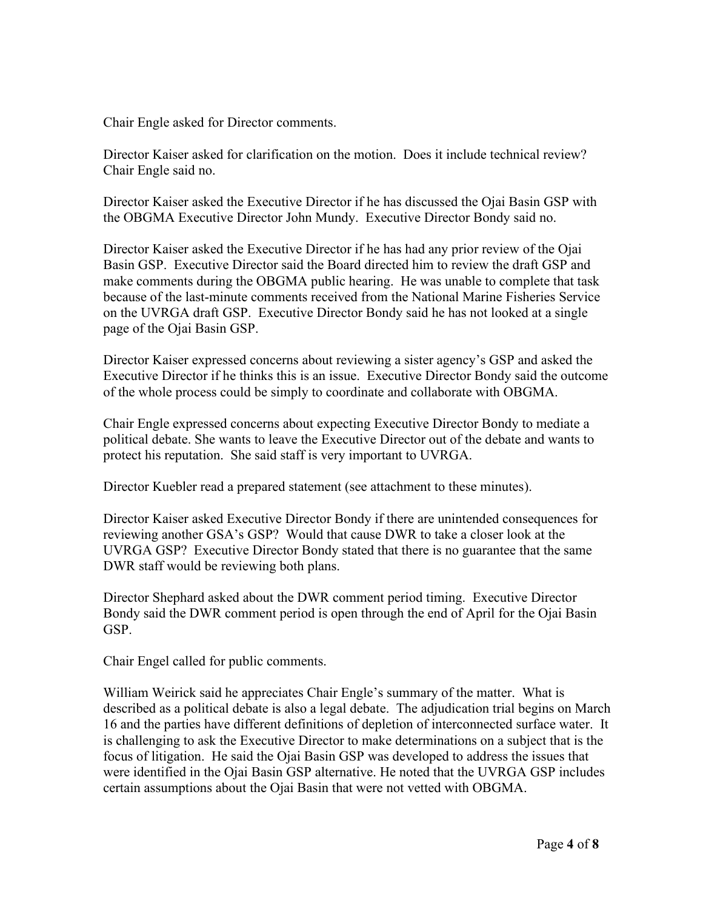Chair Engle asked for Director comments.

Director Kaiser asked for clarification on the motion. Does it include technical review? Chair Engle said no.

Director Kaiser asked the Executive Director if he has discussed the Ojai Basin GSP with the OBGMA Executive Director John Mundy. Executive Director Bondy said no.

Director Kaiser asked the Executive Director if he has had any prior review of the Ojai Basin GSP. Executive Director said the Board directed him to review the draft GSP and make comments during the OBGMA public hearing. He was unable to complete that task because of the last-minute comments received from the National Marine Fisheries Service on the UVRGA draft GSP. Executive Director Bondy said he has not looked at a single page of the Ojai Basin GSP.

Director Kaiser expressed concerns about reviewing a sister agency's GSP and asked the Executive Director if he thinks this is an issue. Executive Director Bondy said the outcome of the whole process could be simply to coordinate and collaborate with OBGMA.

Chair Engle expressed concerns about expecting Executive Director Bondy to mediate a political debate. She wants to leave the Executive Director out of the debate and wants to protect his reputation. She said staff is very important to UVRGA.

Director Kuebler read a prepared statement (see attachment to these minutes).

Director Kaiser asked Executive Director Bondy if there are unintended consequences for reviewing another GSA's GSP? Would that cause DWR to take a closer look at the UVRGA GSP? Executive Director Bondy stated that there is no guarantee that the same DWR staff would be reviewing both plans.

Director Shephard asked about the DWR comment period timing. Executive Director Bondy said the DWR comment period is open through the end of April for the Ojai Basin GSP.

Chair Engel called for public comments.

William Weirick said he appreciates Chair Engle's summary of the matter. What is described as a political debate is also a legal debate. The adjudication trial begins on March 16 and the parties have different definitions of depletion of interconnected surface water. It is challenging to ask the Executive Director to make determinations on a subject that is the focus of litigation. He said the Ojai Basin GSP was developed to address the issues that were identified in the Ojai Basin GSP alternative. He noted that the UVRGA GSP includes certain assumptions about the Ojai Basin that were not vetted with OBGMA.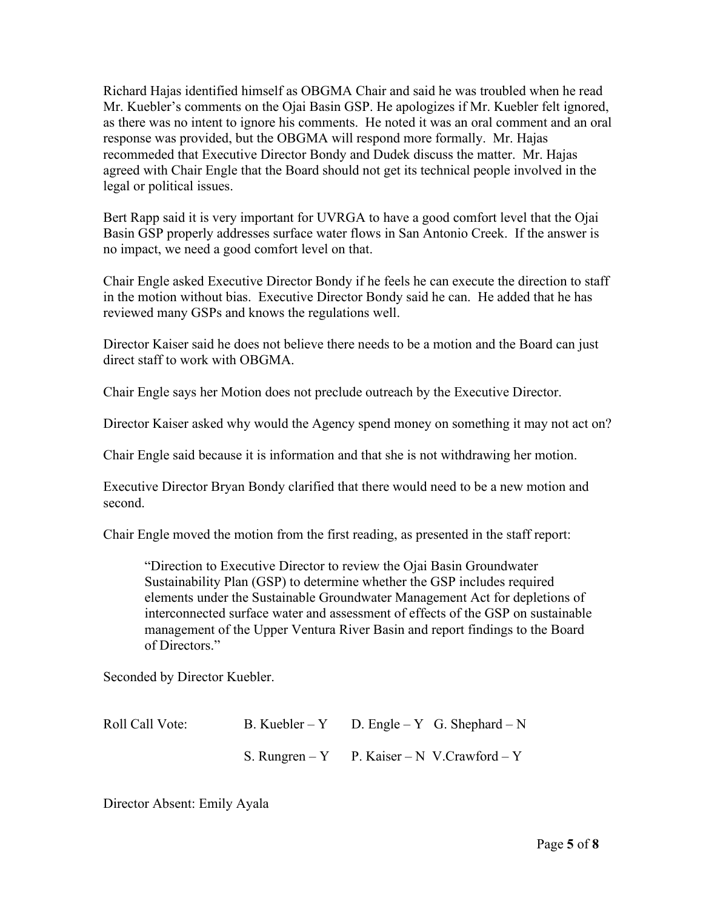Richard Hajas identified himself as OBGMA Chair and said he was troubled when he read Mr. Kuebler's comments on the Ojai Basin GSP. He apologizes if Mr. Kuebler felt ignored, as there was no intent to ignore his comments. He noted it was an oral comment and an oral response was provided, but the OBGMA will respond more formally. Mr. Hajas recommeded that Executive Director Bondy and Dudek discuss the matter. Mr. Hajas agreed with Chair Engle that the Board should not get its technical people involved in the legal or political issues.

Bert Rapp said it is very important for UVRGA to have a good comfort level that the Ojai Basin GSP properly addresses surface water flows in San Antonio Creek. If the answer is no impact, we need a good comfort level on that.

Chair Engle asked Executive Director Bondy if he feels he can execute the direction to staff in the motion without bias. Executive Director Bondy said he can. He added that he has reviewed many GSPs and knows the regulations well.

Director Kaiser said he does not believe there needs to be a motion and the Board can just direct staff to work with OBGMA.

Chair Engle says her Motion does not preclude outreach by the Executive Director.

Director Kaiser asked why would the Agency spend money on something it may not act on?

Chair Engle said because it is information and that she is not withdrawing her motion.

Executive Director Bryan Bondy clarified that there would need to be a new motion and second.

Chair Engle moved the motion from the first reading, as presented in the staff report:

"Direction to Executive Director to review the Ojai Basin Groundwater Sustainability Plan (GSP) to determine whether the GSP includes required elements under the Sustainable Groundwater Management Act for depletions of interconnected surface water and assessment of effects of the GSP on sustainable management of the Upper Ventura River Basin and report findings to the Board of Directors."

Seconded by Director Kuebler.

| Roll Call Vote: | B. Kuebler – Y D. Engle – Y G. Shephard – N  |
|-----------------|----------------------------------------------|
|                 | S. Rungren – Y P. Kaiser – N V. Crawford – Y |

Director Absent: Emily Ayala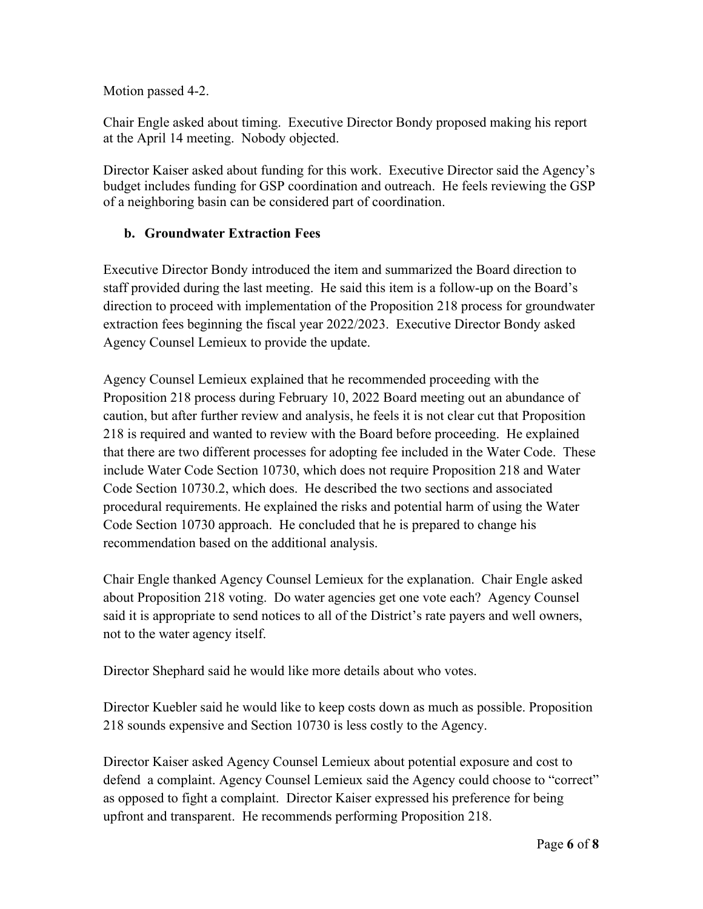Motion passed 4-2.

Chair Engle asked about timing. Executive Director Bondy proposed making his report at the April 14 meeting. Nobody objected.

Director Kaiser asked about funding for this work. Executive Director said the Agency's budget includes funding for GSP coordination and outreach. He feels reviewing the GSP of a neighboring basin can be considered part of coordination.

# **b. Groundwater Extraction Fees**

Executive Director Bondy introduced the item and summarized the Board direction to staff provided during the last meeting. He said this item is a follow-up on the Board's direction to proceed with implementation of the Proposition 218 process for groundwater extraction fees beginning the fiscal year 2022/2023. Executive Director Bondy asked Agency Counsel Lemieux to provide the update.

Agency Counsel Lemieux explained that he recommended proceeding with the Proposition 218 process during February 10, 2022 Board meeting out an abundance of caution, but after further review and analysis, he feels it is not clear cut that Proposition 218 is required and wanted to review with the Board before proceeding. He explained that there are two different processes for adopting fee included in the Water Code. These include Water Code Section 10730, which does not require Proposition 218 and Water Code Section 10730.2, which does. He described the two sections and associated procedural requirements. He explained the risks and potential harm of using the Water Code Section 10730 approach. He concluded that he is prepared to change his recommendation based on the additional analysis.

Chair Engle thanked Agency Counsel Lemieux for the explanation. Chair Engle asked about Proposition 218 voting. Do water agencies get one vote each? Agency Counsel said it is appropriate to send notices to all of the District's rate payers and well owners, not to the water agency itself.

Director Shephard said he would like more details about who votes.

Director Kuebler said he would like to keep costs down as much as possible. Proposition 218 sounds expensive and Section 10730 is less costly to the Agency.

Director Kaiser asked Agency Counsel Lemieux about potential exposure and cost to defend a complaint. Agency Counsel Lemieux said the Agency could choose to "correct" as opposed to fight a complaint. Director Kaiser expressed his preference for being upfront and transparent. He recommends performing Proposition 218.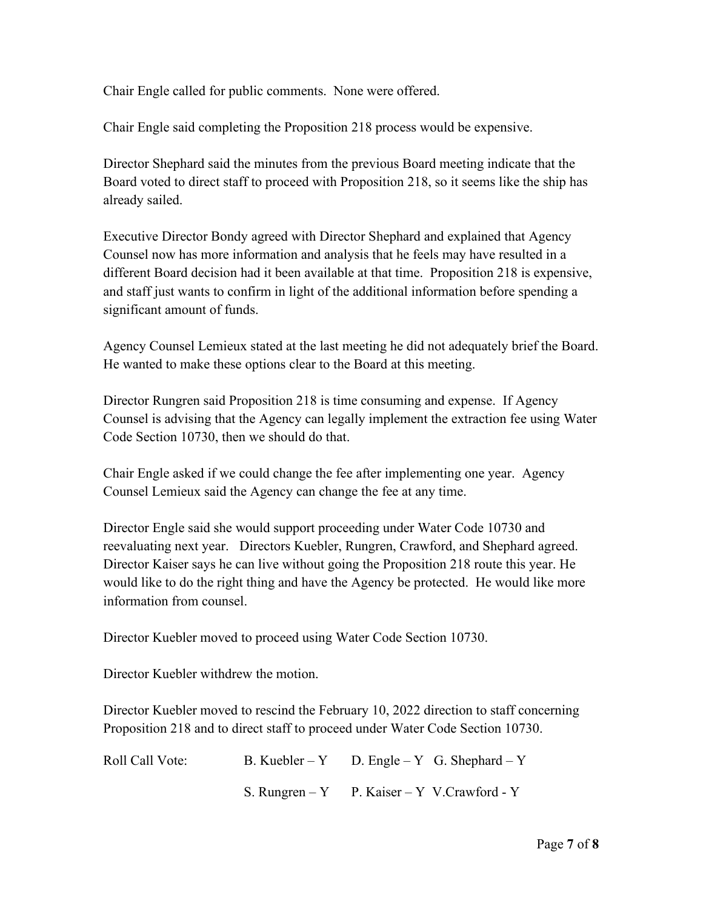Chair Engle called for public comments. None were offered.

Chair Engle said completing the Proposition 218 process would be expensive.

Director Shephard said the minutes from the previous Board meeting indicate that the Board voted to direct staff to proceed with Proposition 218, so it seems like the ship has already sailed.

Executive Director Bondy agreed with Director Shephard and explained that Agency Counsel now has more information and analysis that he feels may have resulted in a different Board decision had it been available at that time. Proposition 218 is expensive, and staff just wants to confirm in light of the additional information before spending a significant amount of funds.

Agency Counsel Lemieux stated at the last meeting he did not adequately brief the Board. He wanted to make these options clear to the Board at this meeting.

Director Rungren said Proposition 218 is time consuming and expense. If Agency Counsel is advising that the Agency can legally implement the extraction fee using Water Code Section 10730, then we should do that.

Chair Engle asked if we could change the fee after implementing one year. Agency Counsel Lemieux said the Agency can change the fee at any time.

Director Engle said she would support proceeding under Water Code 10730 and reevaluating next year. Directors Kuebler, Rungren, Crawford, and Shephard agreed. Director Kaiser says he can live without going the Proposition 218 route this year. He would like to do the right thing and have the Agency be protected. He would like more information from counsel.

Director Kuebler moved to proceed using Water Code Section 10730.

Director Kuebler withdrew the motion.

Director Kuebler moved to rescind the February 10, 2022 direction to staff concerning Proposition 218 and to direct staff to proceed under Water Code Section 10730.

| Roll Call Vote: | B. Kuebler – Y D. Engle – Y G. Shephard – Y  |
|-----------------|----------------------------------------------|
|                 | S. Rungren – Y P. Kaiser – Y V. Crawford - Y |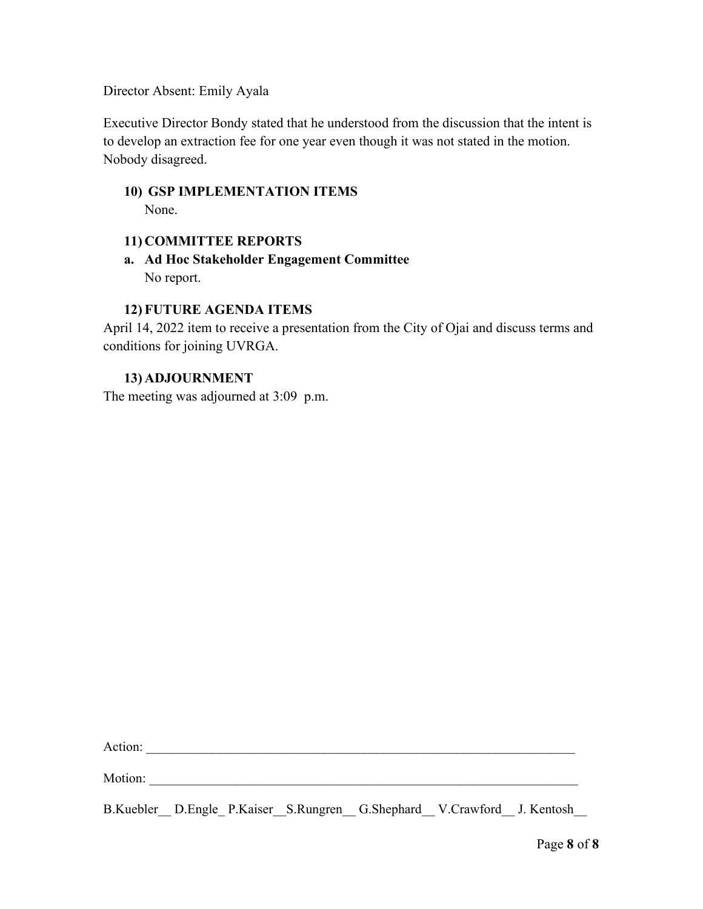Director Absent: Emily Ayala

Executive Director Bondy stated that he understood from the discussion that the intent is to develop an extraction fee for one year even though it was not stated in the motion. Nobody disagreed.

**10) GSP IMPLEMENTATION ITEMS** None.

#### **11) COMMITTEE REPORTS**

**a. Ad Hoc Stakeholder Engagement Committee** No report.

#### **12) FUTURE AGENDA ITEMS**

April 14, 2022 item to receive a presentation from the City of Ojai and discuss terms and conditions for joining UVRGA.

#### **13) ADJOURNMENT**

The meeting was adjourned at 3:09 p.m.

Action: \_\_\_\_\_\_\_\_\_\_\_\_\_\_\_\_\_\_\_\_\_\_\_\_\_\_\_\_\_\_\_\_\_\_\_\_\_\_\_\_\_\_\_\_\_\_\_\_\_\_\_\_\_\_\_\_\_\_\_\_\_\_\_\_\_

Motion: \_\_\_\_\_\_\_\_\_\_\_\_\_\_\_\_\_\_\_\_\_\_\_\_\_\_\_\_\_\_\_\_\_\_\_\_\_\_\_\_\_\_\_\_\_\_\_\_\_\_\_\_\_\_\_\_\_\_\_\_\_\_\_\_\_

B.Kuebler D.Engle P.Kaiser S.Rungren G.Shephard V.Crawford J. Kentosh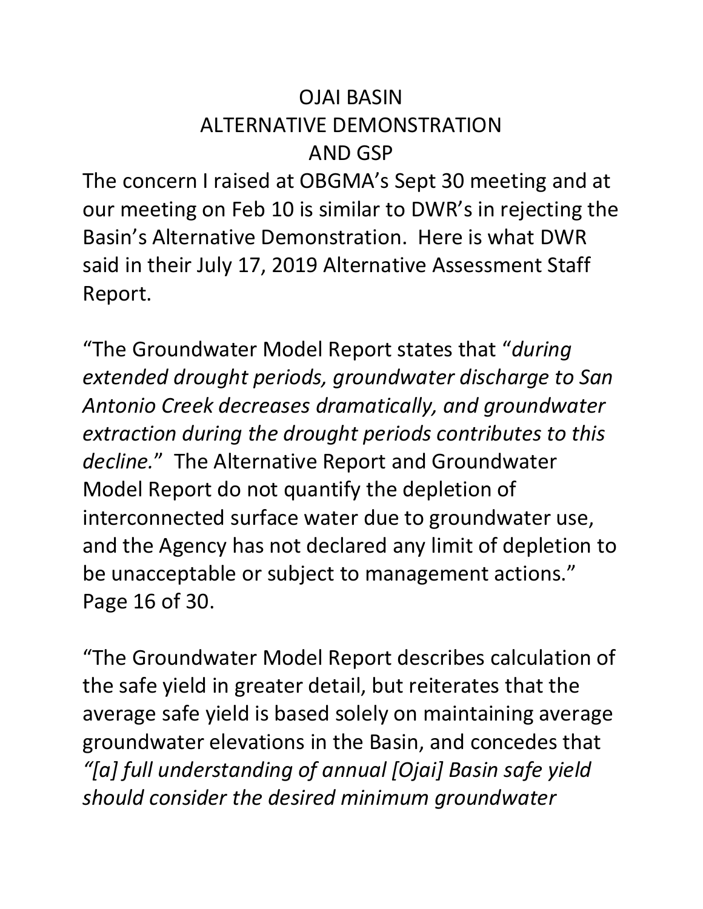# OJAI BASIN ALTERNATIVE DEMONSTRATION AND GSP

The concern I raised at OBGMA's Sept 30 meeting and at our meeting on Feb 10 is similar to DWR's in rejecting the Basin's Alternative Demonstration. Here is what DWR said in their July 17, 2019 Alternative Assessment Staff Report.

"The Groundwater Model Report states that "*during extended drought periods, groundwater discharge to San Antonio Creek decreases dramatically, and groundwater extraction during the drought periods contributes to this decline.*" The Alternative Report and Groundwater Model Report do not quantify the depletion of interconnected surface water due to groundwater use, and the Agency has not declared any limit of depletion to be unacceptable or subject to management actions." Page 16 of 30.

"The Groundwater Model Report describes calculation of the safe yield in greater detail, but reiterates that the average safe yield is based solely on maintaining average groundwater elevations in the Basin, and concedes that *"[a] full understanding of annual [Ojai] Basin safe yield should consider the desired minimum groundwater*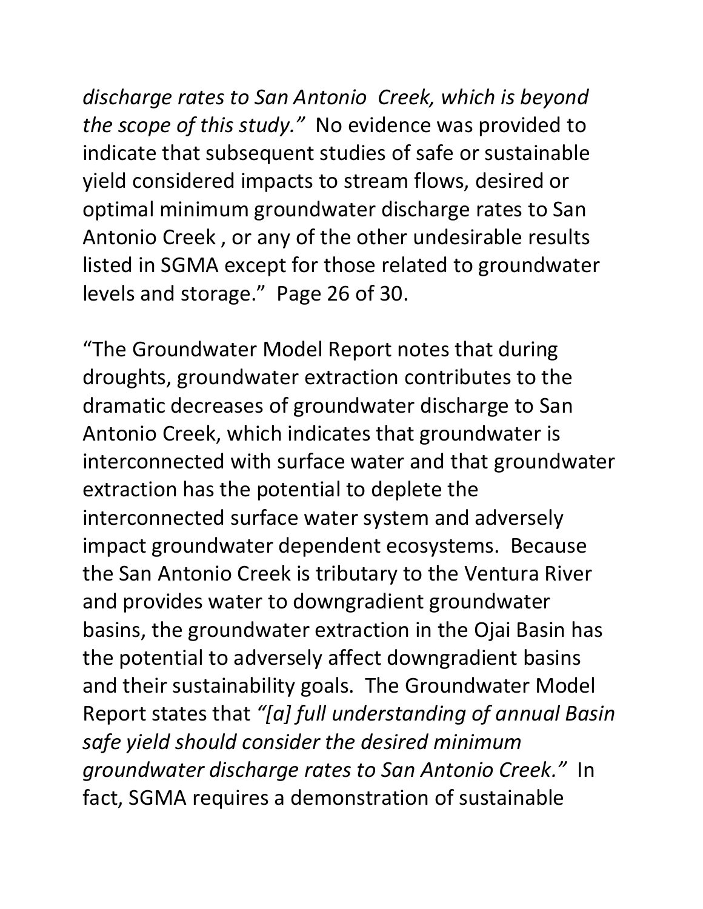*discharge rates to San Antonio Creek, which is beyond the scope of this study."* No evidence was provided to indicate that subsequent studies of safe or sustainable yield considered impacts to stream flows, desired or optimal minimum groundwater discharge rates to San Antonio Creek , or any of the other undesirable results listed in SGMA except for those related to groundwater levels and storage." Page 26 of 30.

"The Groundwater Model Report notes that during droughts, groundwater extraction contributes to the dramatic decreases of groundwater discharge to San Antonio Creek, which indicates that groundwater is interconnected with surface water and that groundwater extraction has the potential to deplete the interconnected surface water system and adversely impact groundwater dependent ecosystems. Because the San Antonio Creek is tributary to the Ventura River and provides water to downgradient groundwater basins, the groundwater extraction in the Ojai Basin has the potential to adversely affect downgradient basins and their sustainability goals. The Groundwater Model Report states that *"[a] full understanding of annual Basin safe yield should consider the desired minimum groundwater discharge rates to San Antonio Creek."* In fact, SGMA requires a demonstration of sustainable